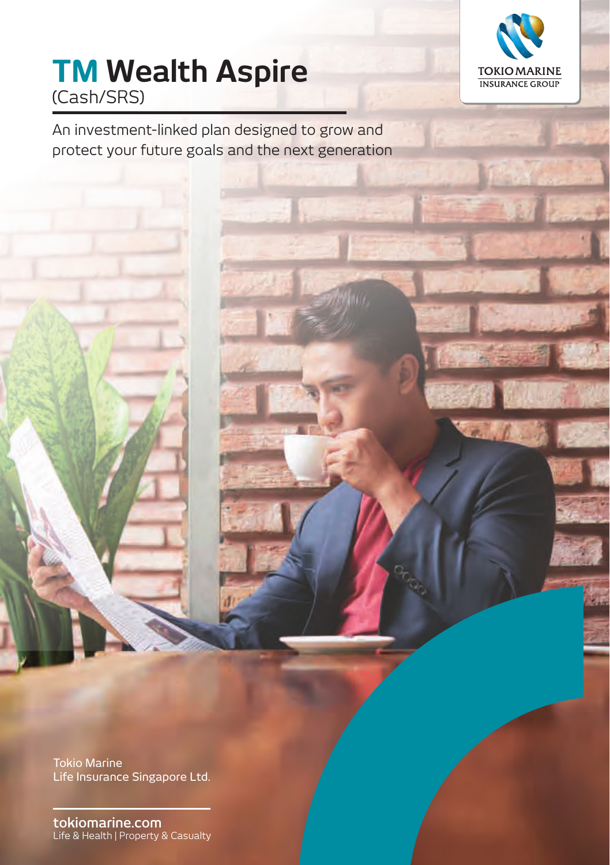

# **TM Wealth Aspire** (Cash/SRS)

An investment-linked plan designed to grow and protect your future goals and the next generation

Tokio Marine Life Insurance Singapore Ltd.

**tokiomarine.com** Life & Health | Property & Casualty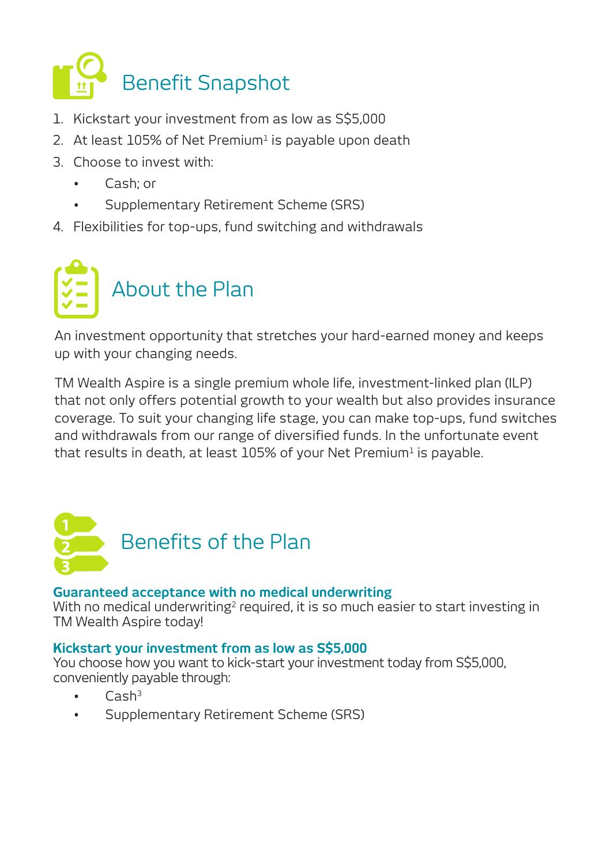

- 1. Kickstart your investment from as low as S\$5,000
- 2. At least 105% of Net Premium<sup>1</sup> is payable upon death
- 3. Choose to invest with:
	- Cash; or
	- Supplementary Retirement Scheme (SRS)
- 4. Flexibilities for top-ups, fund switching and withdrawals



An investment opportunity that stretches your hard-earned money and keeps up with your changing needs.

TM Wealth Aspire is a single premium whole life, investment-linked plan (ILP) that not only offers potential growth to your wealth but also provides insurance coverage. To suit your changing life stage, you can make top-ups, fund switches and withdrawals from our range of diversified funds. In the unfortunate event that results in death, at least  $105\%$  of your Net Premium<sup>1</sup> is payable.



## **Guaranteed acceptance with no medical underwriting**

With no medical underwriting<sup>2</sup> required, it is so much easier to start investing in TM Wealth Aspire today!

## **Kickstart your investment from as low as S\$5,000**

You choose how you want to kick-start your investment today from S\$5,000, conveniently payable through:

- $C$ ash $3$
- Supplementary Retirement Scheme (SRS)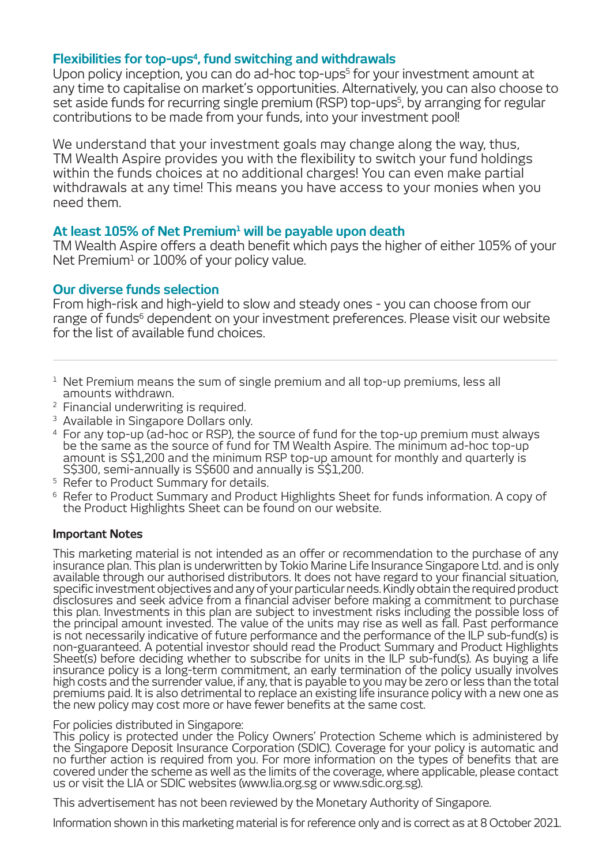### **Flexibilities for top-ups4 , fund switching and withdrawals**

Upon policy inception, you can do ad-hoc top-ups<sup>5</sup> for your investment amount at any time to capitalise on market's opportunities. Alternatively, you can also choose to set aside funds for recurring single premium (RSP) top-ups5 , by arranging for regular contributions to be made from your funds, into your investment pool!

We understand that your investment goals may change along the way, thus, TM Wealth Aspire provides you with the flexibility to switch your fund holdings within the funds choices at no additional charges! You can even make partial withdrawals at any time! This means you have access to your monies when you need them.

### At least 105% of Net Premium<del>'</del> will be payable upon death

TM Wealth Aspire offers a death benefit which pays the higher of either 105% of your Net Premium<del>1</del> or 100% of your policy value.

#### **Our diverse funds selection**

From high-risk and high-yield to slow and steady ones - you can choose from our range of funds<sup>6</sup> dependent on your investment preferences. Please visit our website for the list of available fund choices.

- $1$  Net Premium means the sum of single premium and all top-up premiums, less all amounts withdrawn.
- 2 Financial underwriting is required.
- <sup>3</sup> Available in Singapore Dollars only.
- 4 For any top-up (ad-hoc or RSP), the source of fund for the top-up premium must always be the same as the source of fund for TM Wealth Aspire. The minimum ad-hoc top-up amount is S\$1,200 and the minimum RSP top-up amount for monthly and quarterly is S\$300, semi-annually is S\$600 and annually is S\$1,200. 5 Refer to Product Summary for details.
- 
- <sup>6</sup> Refer to Product Summary and Product Highlights Sheet for funds information. A copy of the Product Highlights Sheet can be found on our website.

#### **Important Notes**

This marketing material is not intended as an offer or recommendation to the purchase of any insurance plan. This plan is underwritten by Tokio Marine Life Insurance Singapore Ltd. and is only available through our authorised distributors. It does not have regard to your financial situation, specific investment objectives and any of your particular needs. Kindly obtain the required product disclosures and seek advice from a financial adviser before making a commitment to purchase this plan. Investments in this plan are subject to investment risks including the possible loss of the principal amount invested. The value of the units may rise as well as fall. Past performance is not necessarily indicative of future performance and the performance of the ILP sub-fund(s) is non-guaranteed. A potential investor should read the Product Summary and Product Highlights Sheet(s) before deciding whether to subscribe for units in the ILP sub-fund(s). As buying a life insurance policy is a long-term commitment, an early termination of the policy usually involves high costs and the surrender value, if any, that is payable to you may be zero or less than the total premiums paid. It is also detrimental to replace an existing life insurance policy with a new one as the new policy may cost more or have fewer benefits at the same cost.

#### For policies distributed in Singapore:

This policy is protected under the Policy Owners' Protection Scheme which is administered by the Singapore Deposit Insurance Corporation (SDIC). Coverage for your policy is automatic and no further action is required from you. For more information on the types of benefits that are covered under the scheme as well as the limits of the coverage, where applicable, please contact us or visit the LIA or SDIC websites (www.lia.org.sg or www.sdic.org.sg).

This advertisement has not been reviewed by the Monetary Authority of Singapore.

Information shown in this marketing material is for reference only and is correct as at 8 October 2021.